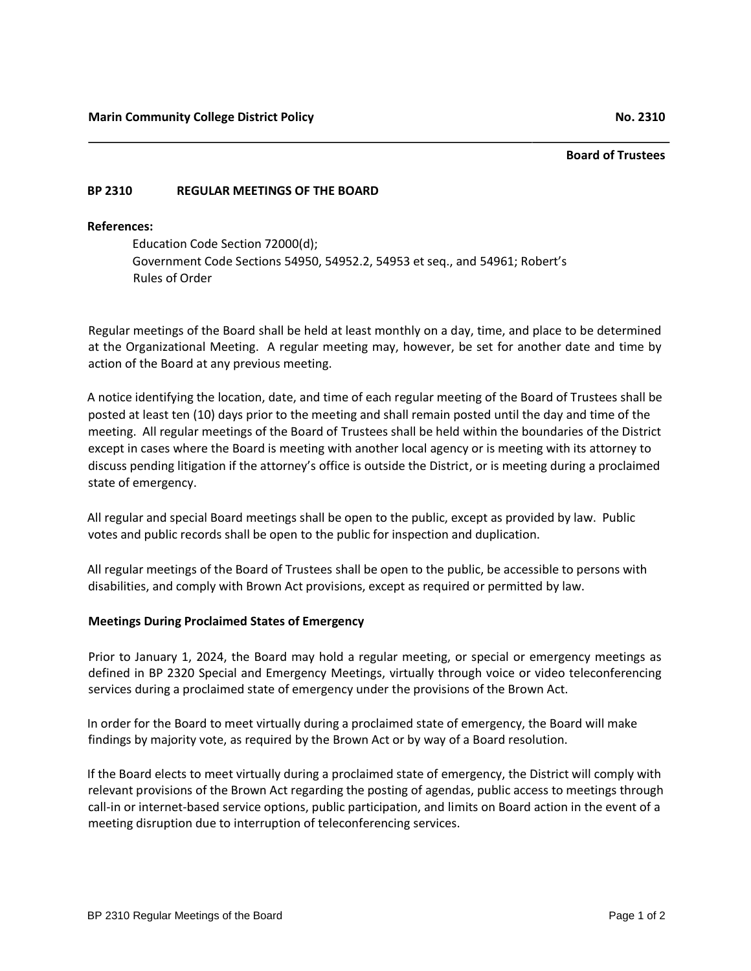## **Board of Trustees**

## **BP 2310 REGULAR MEETINGS OF THE BOARD**

## **References:**

Education Code Section 72000(d); Government Code Sections 54950, 54952.2, 54953 et seq., and 54961; Robert's Rules of Order

Regular meetings of the Board shall be held at least monthly on a day, time, and place to be determined at the Organizational Meeting. A regular meeting may, however, be set for another date and time by action of the Board at any previous meeting.

A notice identifying the location, date, and time of each regular meeting of the Board of Trustees shall be posted at least ten (10) days prior to the meeting and shall remain posted until the day and time of the meeting. All regular meetings of the Board of Trustees shall be held within the boundaries of the District except in cases where the Board is meeting with another local agency or is meeting with its attorney to discuss pending litigation if the attorney's office is outside the District, or is meeting during a proclaimed state of emergency.

All regular and special Board meetings shall be open to the public, except as provided by law. Public votes and public records shall be open to the public for inspection and duplication.

All regular meetings of the Board of Trustees shall be open to the public, be accessible to persons with disabilities, and comply with Brown Act provisions, except as required or permitted by law.

## **Meetings During Proclaimed States of Emergency**

Prior to January 1, 2024, the Board may hold a regular meeting, or special or emergency meetings as defined in BP 2320 Special and Emergency Meetings, virtually through voice or video teleconferencing services during a proclaimed state of emergency under the provisions of the Brown Act.

In order for the Board to meet virtually during a proclaimed state of emergency, the Board will make findings by majority vote, as required by the Brown Act or by way of a Board resolution.

If the Board elects to meet virtually during a proclaimed state of emergency, the District will comply with relevant provisions of the Brown Act regarding the posting of agendas, public access to meetings through call-in or internet-based service options, public participation, and limits on Board action in the event of a meeting disruption due to interruption of teleconferencing services.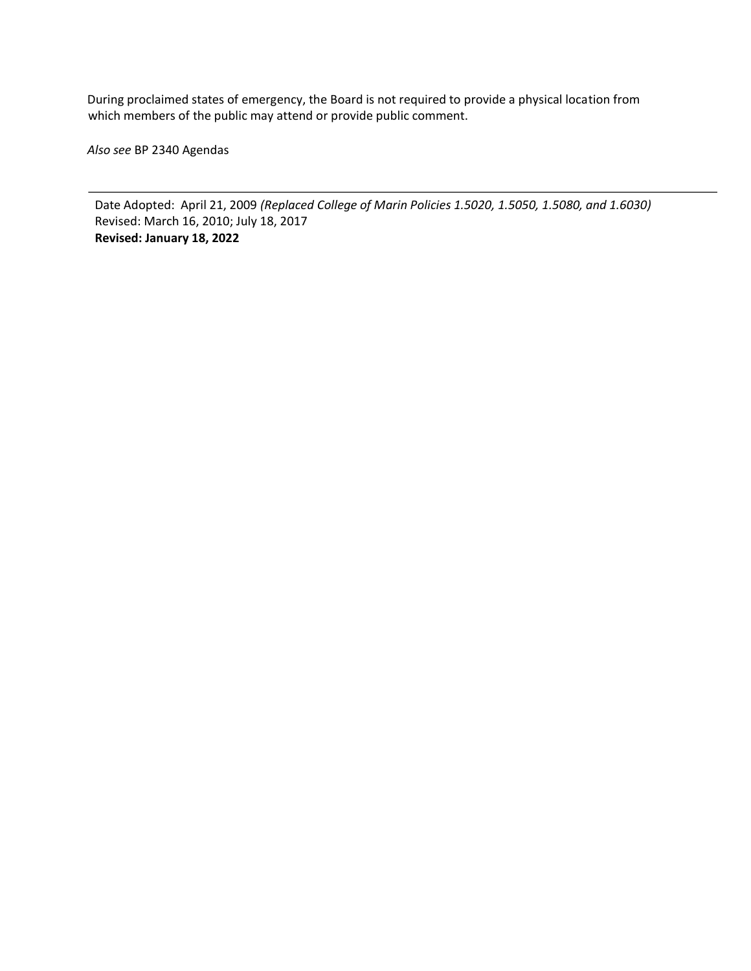During proclaimed states of emergency, the Board is not required to provide a physical location from which members of the public may attend or provide public comment.

*Also see* BP 2340 Agendas

Date Adopted: April 21, 2009 *(Replaced College of Marin Policies 1.5020, 1.5050, 1.5080, and 1.6030)* Revised: March 16, 2010; July 18, 2017 **Revised: January 18, 2022**